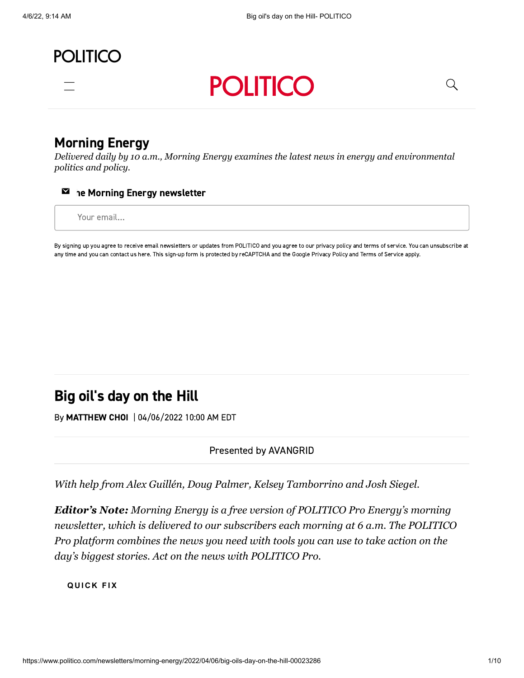



## [Morning Energy](https://www.politico.com/morningenergy/)

*Delivered daily by 10 a.m., Morning Energy examines the latest news in energy and environmental politics and policy.*



Your email…

By signing up you agree to receive email newsletters or updates from POLITICO and you agree to our [privacy](https://www.politico.com/privacy) policy and terms of [service](https://www.politico.com/terms-of-service). You can unsubscribe at any time and you can contact us [here.](https://www.politico.com/feedback) This sign-up form is protected by reCAPTCHA and the Google [Privacy](https://policies.google.com/privacy) Policy and Terms of [Service](https://policies.google.com/terms) apply.

# Big oil's day on the Hill

By [MATTHEW CHOI](https://www.politico.com/staff/choi-matthew) | 04/06/2022 10:00 AM EDT

#### Presented by AVANGRID

*With help from Alex Guillén, Doug Palmer, Kelsey Tamborrino and Josh Siegel.*

*Editor's Note: Morning Energy is a free version of POLITICO Pro Energy's morning newsletter, which is delivered to our subscribers each morning at 6 a.m. The POLITICO Pro platform combines the news you need with tools you can use to take action on the day's biggest stories. [Act on the news with POLITICO Pro](https://www.politicopro.com/act-on-the-news?cid=promkt_20q1_corenews_act_energy).*

**Q U I C K F I X**

Q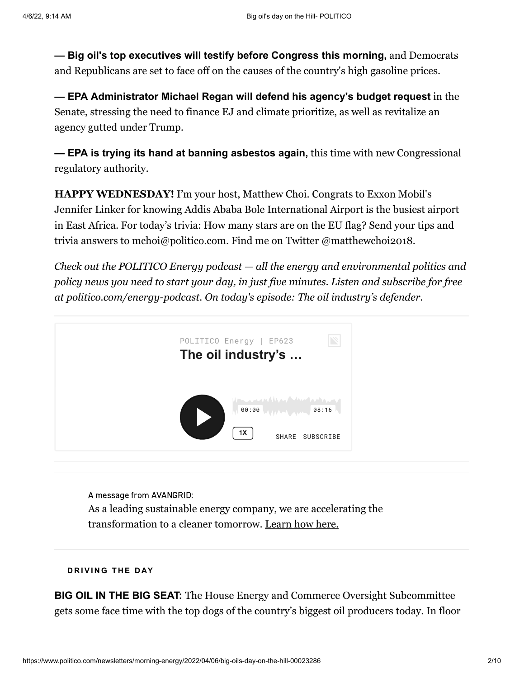**— Big oil's top executives will testify before Congress this morning,** and Democrats and Republicans are set to face off on the causes of the country's high gasoline prices.

**— EPA Administrator Michael Regan will defend his agency's budget request** in the Senate, stressing the need to finance EJ and climate prioritize, as well as revitalize an agency gutted under Trump.

**— EPA is trying its hand at banning asbestos again,** this time with new Congressional regulatory authority.

**HAPPY WEDNESDAY!** I'm your host, Matthew Choi. Congrats to Exxon Mobil's Jennifer Linker for knowing Addis Ababa Bole International Airport is the busiest airport in East Africa. For today's trivia: How many stars are on the EU flag? Send your tips and trivia answers to [mchoi@politico.com.](mailto:mchoi@politico.com) Find me on Twitter [@matthewchoi2018](https://twitter.com/matthewchoi2018).

*[Check out the POLITICO Energy podcast](https://politico-energy.simplecast.com/) — all the energy and environmental politics and policy news you need to start your day, in just five minutes. Listen and subscribe for free at [politico.com/energy-podcast.](https://www.politico.com/energy-podcast) On today's episode: The oil industry's defender.*



A message from AVANGRID: As a leading sustainable energy company, we are accelerating the transformation to a cleaner tomorrow. [Learn how here.](https://ad.doubleclick.net/ddm/clk/525248068;333006293;e)

#### **D R I V I N G T H E D AY**

**BIG OIL IN THE BIG SEAT:** The House Energy and Commerce Oversight Subcommittee gets some face time with the top dogs of the country's biggest oil producers today. In floor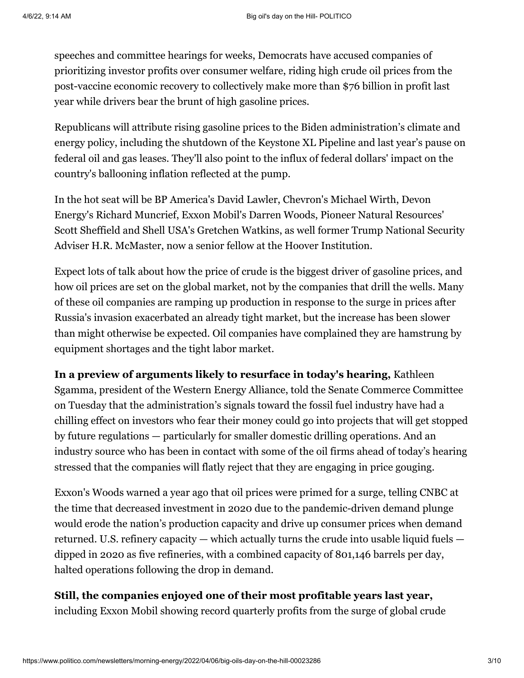speeches and committee hearings for weeks, Democrats have accused companies of prioritizing investor profits over consumer welfare, riding high crude oil prices from the post-vaccine economic recovery to collectively make more than \$76 billion in profit last year while drivers bear the brunt of high gasoline prices.

Republicans will attribute rising gasoline prices to the Biden administration's climate and energy policy, including the shutdown of the Keystone XL Pipeline and last year's pause on federal oil and gas leases. They'll also point to the influx of federal dollars' impact on the country's ballooning inflation reflected at the pump.

In the hot seat will be BP America's [David Lawler,](https://energycommerce.house.gov/sites/democrats.energycommerce.house.gov/files/documents/Witness%20Testimony_%20Lawler_OI_2022.4.6.pdf) Chevron's [Michael Wirth](https://energycommerce.house.gov/sites/democrats.energycommerce.house.gov/files/documents/Witness%20Testimony_Wirth_OI.2022.4.6.pdf), Devon Energy's [Richard Muncrief,](https://energycommerce.house.gov/sites/democrats.energycommerce.house.gov/files/documents/Witness%20Testimony_Muncrief_OI_2022.4.6.pdf) Exxon Mobil's [Darren Woods](https://energycommerce.house.gov/sites/democrats.energycommerce.house.gov/files/documents/Witness%20Testimony_Woods_OI_2022.4.6.pdf), Pioneer Natural Resources' [Scott Sheffield](https://energycommerce.house.gov/sites/democrats.energycommerce.house.gov/files/documents/Witness%20Testimony_Sheffield_OI_2022.4.6.pdf) and Shell USA's [Gretchen Watkins,](https://energycommerce.house.gov/sites/democrats.energycommerce.house.gov/files/documents/Witness%20Testimony_Watkins_OI_2022.4.6.pdf) as well former Trump National Security Adviser [H.R. McMaster](https://energycommerce.house.gov/sites/democrats.energycommerce.house.gov/files/documents/Witness%20Testimony_McMaster_OI_2022.4.6_0.pdf), now a senior fellow at the Hoover Institution.

Expect lots of talk about how the price of crude is the biggest driver of gasoline prices, and how oil prices are set on the global market, not by the companies that drill the wells. Many of these oil companies are ramping up production in response to the surge in prices after Russia's invasion exacerbated an already tight market, but the increase has been slower than might otherwise be expected. Oil companies have complained they are hamstrung by equipment shortages and the tight labor market.

**In a preview of arguments likely to resurface in today's hearing,** Kathleen Sgamma, president of the Western Energy Alliance, told the Senate Commerce Committee on Tuesday that the administration's signals toward the fossil fuel industry have had a chilling effect on investors who fear their money could go into projects that will get stopped by future regulations — particularly for smaller domestic drilling operations. And an industry source who has been in contact with some of the oil firms ahead of today's hearing stressed that the companies will flatly reject that they are engaging in price gouging.

Exxon's Woods [warned a year ago that oil prices were primed for a surge,](https://www.cnbc.com/video/2021/04/07/full-interview-with-exxon-ceo-darren-woods-on-the-companys-climate-strategy.html?&qsearchterm=darren%20woods) telling CNBC at the time that decreased investment in 2020 due to the pandemic-driven demand plunge would erode the nation's production capacity and drive up consumer prices when demand returned. U.S. refinery capacity — which actually turns the crude into usable liquid fuels dipped in 2020 as five refineries, with a combined capacity of 801,146 barrels per day, halted operations following the drop in demand.

## **Still, the companies enjoyed one of their most profitable years last year,**

including Exxon Mobil showing [record quarterly profits](https://www.reuters.com/business/energy/exxon-signals-record-quarterly-profit-oil-gas-prices-2022-04-04/) from the surge of global crude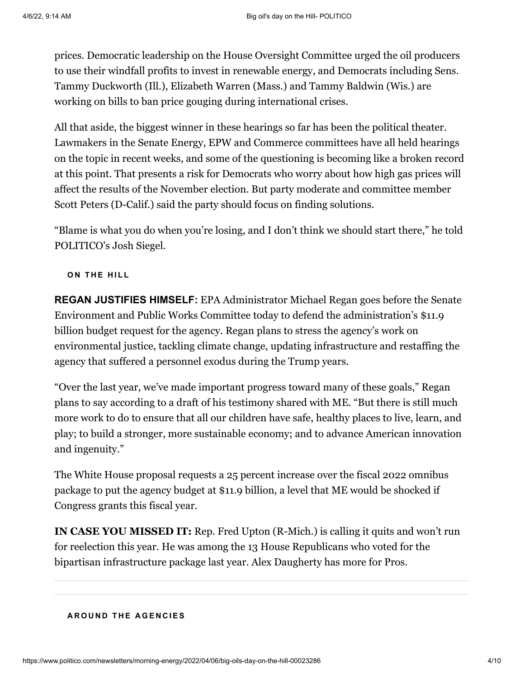prices. Democratic leadership on the House Oversight Committee urged the oil producers to use their windfall profits to [invest in renewable energy](https://oversight.house.gov/news/press-releases/chairs-maloney-and-khanna-call-on-big-oil-to-end-stock-buybacks-use-record), and Democrats including Sens. [Tammy Duckworth](https://directory.politicopro.com/congress/member/198768) (Ill.), [Elizabeth Warren](https://directory.politicopro.com/congress/member/140963) (Mass.) and [Tammy Baldwin](https://directory.politicopro.com/congress/member/51260) (Wis.) are working on bills to ban price gouging during international crises.

All that aside, the biggest winner in these hearings so far has been the political theater. Lawmakers in the Senate Energy, EPW and Commerce committees have all held hearings on the topic in recent weeks, and some of the questioning is becoming like a broken record at this point. That presents a risk for Democrats who worry about how high gas prices will affect the results of the November election. But party moderate and committee member [Scott Peters](https://directory.politicopro.com/congress/member/199009) (D-Calif.) said the party should focus on finding solutions.

"Blame is what you do when you're losing, and I don't think we should start there," he told POLITICO's Josh Siegel.

**O N T H E H I L L**

**REGAN JUSTIFIES HIMSELF:** EPA Administrator Michael Regan goes before the Senate [Environment and Public Works Committee today to defend the administration's \\$11.9](https://subscriber.politicopro.com/article/2022/03/white-house-seeks-big-budget-boost-for-epa-00020827) billion budget request for the agency. Regan plans to stress the agency's work on environmental justice, tackling climate change, updating infrastructure and restaffing the agency that suffered a personnel exodus during the Trump years.

"Over the last year, we've made important progress toward many of these goals," Regan plans to say according to a draft of his testimony shared with ME. "But there is still much more work to do to ensure that all our children have safe, healthy places to live, learn, and play; to build a stronger, more sustainable economy; and to advance American innovation and ingenuity."

[The White House proposal requests a 25 percent increase over the fiscal 2022 omnibus](https://legislation.politicopro.com/bill/US_117_HR_2471) package to put the agency budget at \$11.9 billion, a level that ME would be shocked if Congress grants this fiscal year.

**IN CASE YOU MISSED IT:** Rep. [Fred Upton](https://directory.politicopro.com/congress/member/51657) (R-Mich.) is calling it quits and won't run for reelection this year. He was among the 13 House Republicans who voted for the bipartisan infrastructure package last year. [Alex Daugherty has more for Pros](https://subscriber.politicopro.com/article/2022/04/another-infrastructure-republican-heads-for-the-exits-00023152).

#### **A R O U N D T H E A G E N C I E S**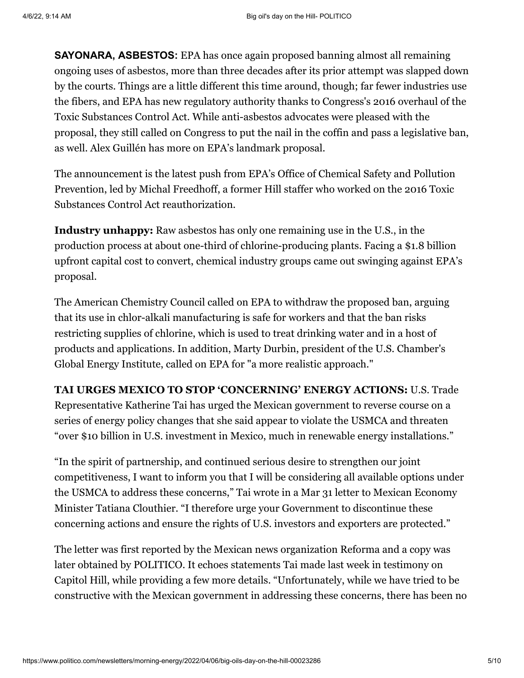**SAYONARA, ASBESTOS:** EPA has once again [proposed banning almost](https://subscriber.politicopro.com/f/?id=0000017f-fa92-da1b-a77f-fefbe37e0000) all remaining ongoing uses of asbestos, more than three decades after its prior attempt was slapped down by the courts. Things are a little different this time around, though; far fewer industries use the fibers, and EPA has new regulatory authority thanks to Congress's 2016 overhaul of the Toxic Substances Control Act. While anti-asbestos advocates were pleased with the proposal, they still called on Congress to put the nail in the coffin and pass a legislative ban, as well. Alex Guillén [has more on EPA's landmark proposal](https://subscriber.politicopro.com/article/2022/04/epa-moves-to-ban-asbestos-after-decades-of-failures-00022900).

The announcement is the latest push from EPA's Office of Chemical Safety and Pollution Prevention, led by Michal Freedhoff, a former Hill staffer who worked on the 2016 Toxic Substances Control Act reauthorization.

**Industry unhappy:** Raw asbestos has only one remaining use in the U.S., in the production process at about one-third of chlorine-producing plants. Facing a \$1.8 billion upfront capital cost to convert, chemical industry groups came out swinging against EPA's proposal.

The American Chemistry Council called on EPA to withdraw the proposed ban, arguing that its use in chlor-alkali manufacturing is safe for workers and that the ban risks restricting supplies of chlorine, which is used to treat drinking water and in a host of products and applications. In addition, Marty Durbin, president of the U.S. Chamber's Global Energy Institute, called on EPA for "a more realistic approach."

**TAI URGES MEXICO TO STOP 'CONCERNING' ENERGY ACTIONS:** U.S. Trade Representative Katherine Tai has urged the Mexican government to reverse course on a series of energy policy changes that she said appear to violate the USMCA and threaten "over \$10 billion in U.S. investment in Mexico, much in renewable energy installations."

"In the spirit of partnership, and continued serious desire to strengthen our joint competitiveness, I want to inform you that I will be considering all available options under [the USMCA to address these concerns," Tai wrote in a Mar 31 letter to Mexican Economy](https://subscriber.politicopro.com/f/?id=0000017f-fbc3-dbc2-a77f-fbe322cd0000) Minister Tatiana Clouthier. "I therefore urge your Government to discontinue these concerning actions and ensure the rights of U.S. investors and exporters are protected."

The letter was first reported by the Mexican news organization Reforma and a copy was later obtained by POLITICO. It echoes statements Tai made last week in testimony on Capitol Hill, while providing a few more details. "Unfortunately, while we have tried to be constructive with the Mexican government in addressing these concerns, there has been no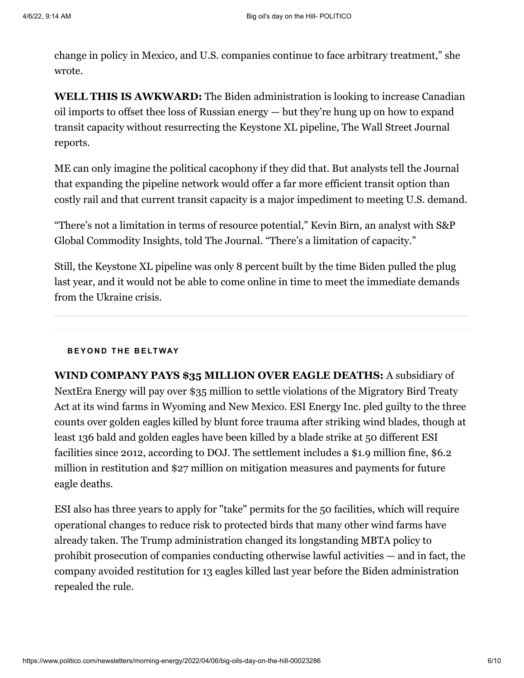change in policy in Mexico, and U.S. companies continue to face arbitrary treatment," she wrote.

**WELL THIS IS AWKWARD:** The Biden administration is looking to increase Canadian oil imports to offset thee loss of Russian energy — but they're hung up on how to expand [transit capacity without resurrecting the Keystone XL pipeline, The Wall Street Journal](https://www.wsj.com/articles/u-s-wants-more-oil-from-canada-but-not-a-new-pipeline-to-bring-it-11649163668) reports.

ME can only imagine the political cacophony if they did that. But analysts tell the Journal that expanding the pipeline network would offer a far more efficient transit option than costly rail and that current transit capacity is a major impediment to meeting U.S. demand.

"There's not a limitation in terms of resource potential," Kevin Birn, an analyst with S&P Global Commodity Insights, told The Journal. "There's a limitation of capacity."

Still, the Keystone XL pipeline was only [8 percent built](https://www.reuters.com/article/factcheck-keystonepipelinexl-builtandpai/fact-check-though-keystone-xl-pipeline-had-secured-most-of-its-funding-it-was-only-8-constructed-idUSL1N2LA2SQ) by the time Biden pulled the plug last year, and it would not be able to come online in time to meet the immediate demands from the Ukraine crisis.

#### **B E Y O N D T H E B E LT WAY**

**WIND COMPANY PAYS \$35 MILLION OVER EAGLE DEATHS:** A subsidiary of NextEra Energy will pay over \$35 million to settle violations of the Migratory Bird Treaty Act at its wind farms in Wyoming and New Mexico. ESI Energy Inc. pled guilty to the three counts over golden eagles killed by blunt force trauma after striking wind blades, though at least 136 bald and golden eagles have been killed by a blade strike at 50 different ESI facilities since 2012, according to DOJ. The settlement includes a \$1.9 million fine, \$6.2 million in restitution and \$27 million on mitigation measures and payments for future eagle deaths.

ESI also has three years to apply for "take" permits for the 50 facilities, which will require operational changes to reduce risk to protected birds that many other wind farms have already taken. The Trump administration changed its longstanding MBTA policy to prohibit prosecution of companies conducting otherwise lawful activities — and in fact, the company avoided restitution for 13 eagles killed last year before the Biden administration repealed the rule.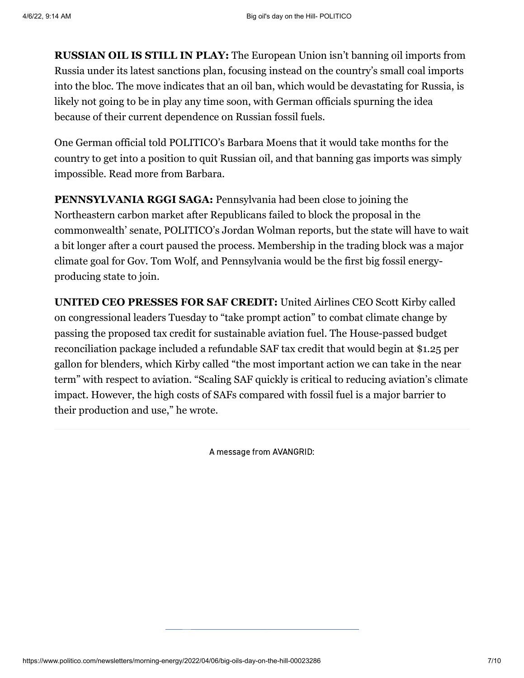**RUSSIAN OIL IS STILL IN PLAY:** The European Union isn't banning oil imports from Russia under its latest sanctions plan, focusing instead on the country's small coal imports into the bloc. The move indicates that an oil ban, which would be devastating for Russia, is likely not going to be in play any time soon, with German officials spurning the idea because of their current dependence on Russian fossil fuels.

One German official told POLITICO's Barbara Moens that it would take months for the country to get into a position to quit Russian oil, and that banning gas imports was simply impossible. [Read more from Barbara.](https://subscriber.politicopro.com/article/2022/04/eu-avoids-imposing-sanctions-on-russian-oil-despite-war-crimes-in-ukraine-00023029)

**PENNSYLVANIA RGGI SAGA:** Pennsylvania had been close to joining the Northeastern carbon market after Republicans failed to block the proposal in the commonwealth' senate, [POLITICO's Jordan Wolman reports,](https://subscriber.politicopro.com/article/2022/04/pennsylvania-set-to-join-rggi-after-failed-override-vote-but-lawsuits-aim-to-derail-the-move-00023225) but the state will have to wait a bit longer after a court paused the process. Membership in the trading block was a major climate goal for Gov. Tom Wolf, and Pennsylvania would be the first big fossil energyproducing state to join.

**UNITED CEO PRESSES FOR SAF CREDIT:** United Airlines CEO Scott Kirby called [on congressional leaders Tuesday to "take prompt action" to combat climate change by](https://subscriber.politicopro.com/f/?id=0000017f-fb64-d59b-a5ff-fbfe4bbe0000) passing the proposed tax credit for sustainable aviation fuel. The House-passed budget [reconciliation package included a refundable SAF tax credit that would begin at \\$1.25 p](https://legislation.politicopro.com/bill/US_117_HR_5376)er gallon for blenders, which Kirby called "the most important action we can take in the near term" with respect to aviation. "Scaling SAF quickly is critical to reducing aviation's climate impact. However, the high costs of SAFs compared with fossil fuel is a major barrier to their production and use," he wrote.

A message from AVANGRID: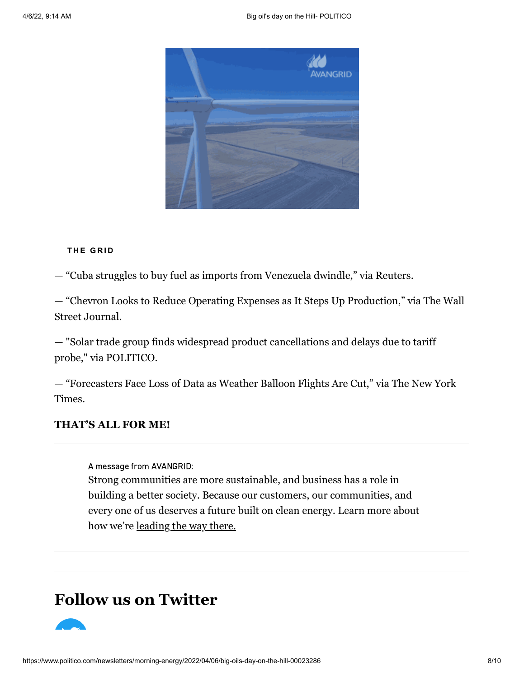

#### **T H E G R I D**

— "[Cuba struggles to buy fuel as imports from Venezuela dwindle,](https://www.reuters.com/business/energy/cuba-struggles-buy-fuel-imports-venezuela-dwindle-data-2022-04-05/)" via Reuters.

— "[Chevron Looks to Reduce Operating Expenses as It Steps Up Production](https://www.wsj.com/articles/chevron-looks-to-reduce-operating-expenses-as-it-steps-up-production-11649158200)," via The Wall Street Journal.

[— "Solar trade group finds widespread product cancellations and delays due to tariff](https://subscriber.politicopro.com/article/2022/04/seia-three-quarters-of-panel-deliveries-already-cancelled-or-delayed-due-to-tariff-probe-00023062) probe," via POLITICO.

— "[Forecasters Face Loss of Data as Weather Balloon Flights Are Cut](https://www.nytimes.com/2022/04/05/climate/weather-forecast-data.html)," via The New York Times.

### **THAT'S ALL FOR ME!**

A message from AVANGRID:

Strong communities are more sustainable, and business has a role in building a better society. Because our customers, our communities, and every one of us deserves a future built on clean energy. Learn more about how we're [leading the way there.](https://ad.doubleclick.net/ddm/clk/525248062;333006287;b)

# **Follow us on Twitter**

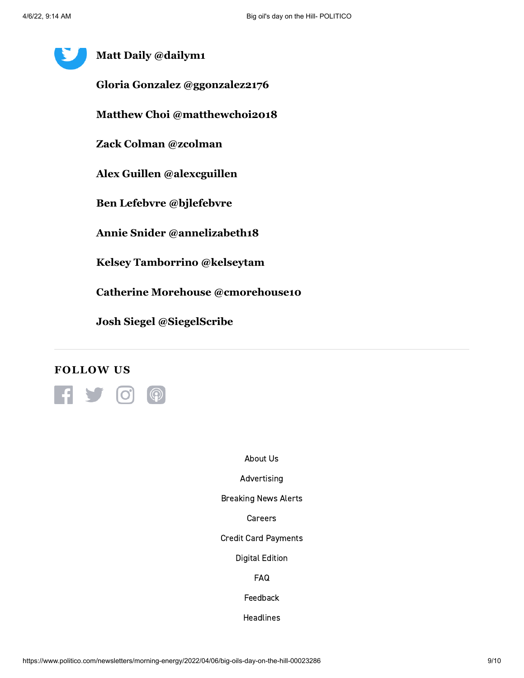# **Matt Daily [@dailym1](https://twitter.com/dailym1) Gloria Gonzalez [@ggonzalez2176](https://twitter.com/ggonzalez2176) Matthew Choi [@matthewchoi2018](https://twitter.com/matthewchoi2018) Zack Colman [@zcolman](https://twitter.com/zcolman) Alex Guillen [@alexcguillen](https://twitter.com/alexcguillen) Ben Lefebvre [@bjlefebvre](https://twitter.com/bjlefebvre) Annie Snider [@annelizabeth18](https://twitter.com/annelizabeth18) Kelsey Tamborrino [@kelseytam](https://twitter.com/kelseytam) Catherine Morehouse [@cmorehouse10](https://twitter.com/cmorehouse10) Josh Siegel [@SiegelScribe](https://twitter.com/SiegelScribe)**

## **FOLLOW US**



[About Us](https://www.politico.com/about-us)

[Advertising](https://www.politico.com/advertising)

[Breaking News Alerts](https://www.politico.com/subscribe/breaking-news-alerts)

[Careers](https://www.politico.com/careers)

[Credit Card Payments](https://www.politico.com/payment)

[Digital Edition](http://edition.pagesuite-professional.co.uk/Launch.aspx?bypass=true&PBID=74262970-aa07-44b3-80c8-21fa8a8ac376)

[FAQ](https://www.politico.com/faq)

[Feedback](https://www.politico.com/feedback)

[Headlines](https://www.politico.com/politics)